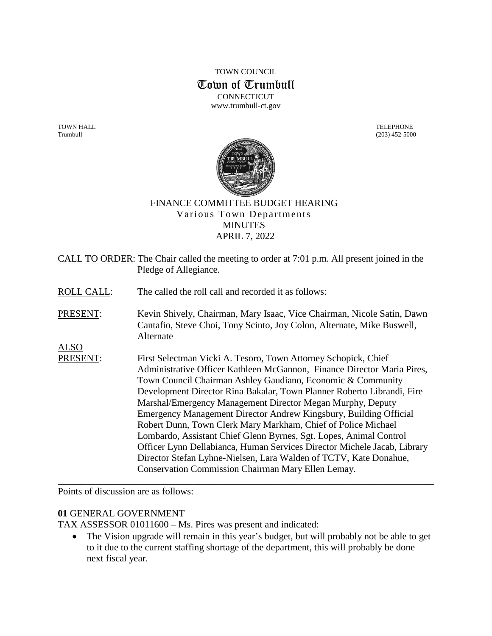## TOWN COUNCIL Town of Trumbull **CONNECTICUT** www.trumbull-ct.gov

TOWN HALL TELEPHONE Trumbull (203) 452-5000



#### FINANCE COMMITTEE BUDGET HEARING Various Town Departments **MINUTES** APRIL 7, 2022

CALL TO ORDER: The Chair called the meeting to order at 7:01 p.m. All present joined in the Pledge of Allegiance. ROLL CALL: The called the roll call and recorded it as follows: PRESENT: Kevin Shively, Chairman, Mary Isaac, Vice Chairman, Nicole Satin, Dawn Cantafio, Steve Choi, Tony Scinto, Joy Colon, Alternate, Mike Buswell, Alternate ALSO PRESENT: First Selectman Vicki A. Tesoro, Town Attorney Schopick, Chief Administrative Officer Kathleen McGannon, Finance Director Maria Pires, Town Council Chairman Ashley Gaudiano, Economic & Community Development Director Rina Bakalar, Town Planner Roberto Librandi, Fire Marshal/Emergency Management Director Megan Murphy, Deputy Emergency Management Director Andrew Kingsbury, Building Official Robert Dunn, Town Clerk Mary Markham, Chief of Police Michael Lombardo, Assistant Chief Glenn Byrnes, Sgt. Lopes, Animal Control Officer Lynn Dellabianca, Human Services Director Michele Jacab, Library Director Stefan Lyhne-Nielsen, Lara Walden of TCTV, Kate Donahue, Conservation Commission Chairman Mary Ellen Lemay. \_\_\_\_\_\_\_\_\_\_\_\_\_\_\_\_\_\_\_\_\_\_\_\_\_\_\_\_\_\_\_\_\_\_\_\_\_\_\_\_\_\_\_\_\_\_\_\_\_\_\_\_\_\_\_\_\_\_\_\_\_\_\_\_\_\_\_\_\_\_\_\_\_\_\_\_\_\_

Points of discussion are as follows:

## **01** GENERAL GOVERNMENT

TAX ASSESSOR 01011600 – Ms. Pires was present and indicated:

• The Vision upgrade will remain in this year's budget, but will probably not be able to get to it due to the current staffing shortage of the department, this will probably be done next fiscal year.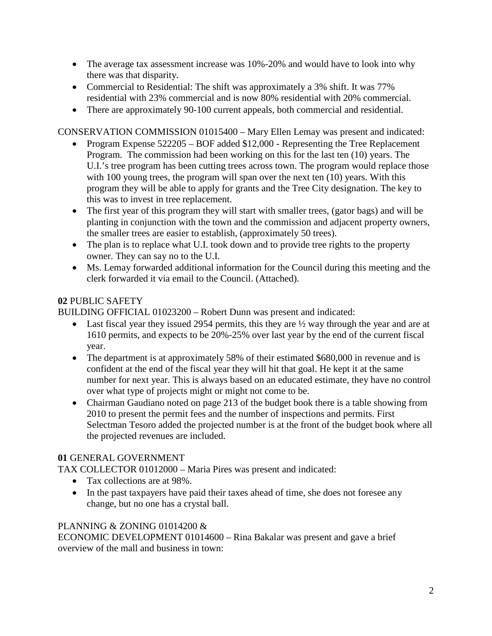- The average tax assessment increase was 10%-20% and would have to look into why there was that disparity.
- Commercial to Residential: The shift was approximately a 3% shift. It was 77% residential with 23% commercial and is now 80% residential with 20% commercial.
- There are approximately 90-100 current appeals, both commercial and residential.

CONSERVATION COMMISSION 01015400 – Mary Ellen Lemay was present and indicated:

- Program Expense 522205 BOF added \$12,000 Representing the Tree Replacement Program. The commission had been working on this for the last ten (10) years. The U.I.'s tree program has been cutting trees across town. The program would replace those with 100 young trees, the program will span over the next ten (10) years. With this program they will be able to apply for grants and the Tree City designation. The key to this was to invest in tree replacement.
- The first year of this program they will start with smaller trees, (gator bags) and will be planting in conjunction with the town and the commission and adjacent property owners, the smaller trees are easier to establish, (approximately 50 trees).
- The plan is to replace what U.I. took down and to provide tree rights to the property owner. They can say no to the U.I.
- Ms. Lemay forwarded additional information for the Council during this meeting and the clerk forwarded it via email to the Council. (Attached).

# **02** PUBLIC SAFETY

BUILDING OFFICIAL 01023200 – Robert Dunn was present and indicated:

- Last fiscal year they issued 2954 permits, this they are  $\frac{1}{2}$  way through the year and are at 1610 permits, and expects to be 20%-25% over last year by the end of the current fiscal year.
- The department is at approximately 58% of their estimated \$680,000 in revenue and is confident at the end of the fiscal year they will hit that goal. He kept it at the same number for next year. This is always based on an educated estimate, they have no control over what type of projects might or might not come to be.
- Chairman Gaudiano noted on page 213 of the budget book there is a table showing from 2010 to present the permit fees and the number of inspections and permits. First Selectman Tesoro added the projected number is at the front of the budget book where all the projected revenues are included.

# **01** GENERAL GOVERNMENT

TAX COLLECTOR 01012000 – Maria Pires was present and indicated:

- Tax collections are at 98%.
- In the past taxpayers have paid their taxes ahead of time, she does not foresee any change, but no one has a crystal ball.

## PLANNING & ZONING 01014200 &

ECONOMIC DEVELOPMENT 01014600 – Rina Bakalar was present and gave a brief overview of the mall and business in town: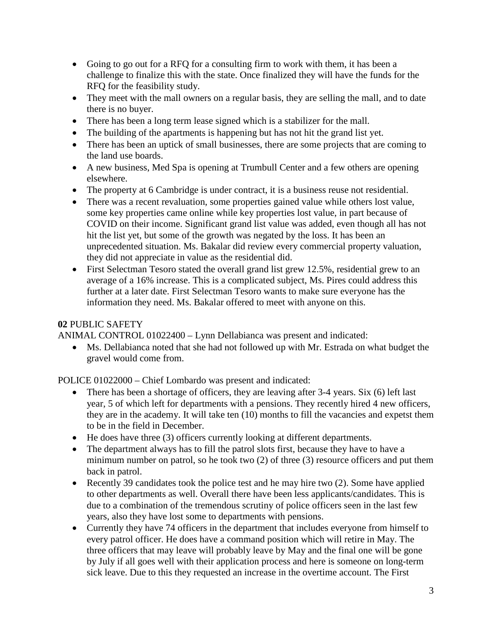- Going to go out for a RFQ for a consulting firm to work with them, it has been a challenge to finalize this with the state. Once finalized they will have the funds for the RFQ for the feasibility study.
- They meet with the mall owners on a regular basis, they are selling the mall, and to date there is no buyer.
- There has been a long term lease signed which is a stabilizer for the mall.
- The building of the apartments is happening but has not hit the grand list yet.
- There has been an uptick of small businesses, there are some projects that are coming to the land use boards.
- A new business, Med Spa is opening at Trumbull Center and a few others are opening elsewhere.
- The property at 6 Cambridge is under contract, it is a business reuse not residential.
- There was a recent revaluation, some properties gained value while others lost value, some key properties came online while key properties lost value, in part because of COVID on their income. Significant grand list value was added, even though all has not hit the list yet, but some of the growth was negated by the loss. It has been an unprecedented situation. Ms. Bakalar did review every commercial property valuation, they did not appreciate in value as the residential did.
- First Selectman Tesoro stated the overall grand list grew 12.5%, residential grew to an average of a 16% increase. This is a complicated subject, Ms. Pires could address this further at a later date. First Selectman Tesoro wants to make sure everyone has the information they need. Ms. Bakalar offered to meet with anyone on this.

## **02** PUBLIC SAFETY

ANIMAL CONTROL 01022400 – Lynn Dellabianca was present and indicated:

• Ms. Dellabianca noted that she had not followed up with Mr. Estrada on what budget the gravel would come from.

POLICE 01022000 – Chief Lombardo was present and indicated:

- There has been a shortage of officers, they are leaving after 3-4 years. Six (6) left last year, 5 of which left for departments with a pensions. They recently hired 4 new officers, they are in the academy. It will take ten (10) months to fill the vacancies and expetst them to be in the field in December.
- He does have three (3) officers currently looking at different departments.
- The department always has to fill the patrol slots first, because they have to have a minimum number on patrol, so he took two (2) of three (3) resource officers and put them back in patrol.
- Recently 39 candidates took the police test and he may hire two (2). Some have applied to other departments as well. Overall there have been less applicants/candidates. This is due to a combination of the tremendous scrutiny of police officers seen in the last few years, also they have lost some to departments with pensions.
- Currently they have 74 officers in the department that includes everyone from himself to every patrol officer. He does have a command position which will retire in May. The three officers that may leave will probably leave by May and the final one will be gone by July if all goes well with their application process and here is someone on long-term sick leave. Due to this they requested an increase in the overtime account. The First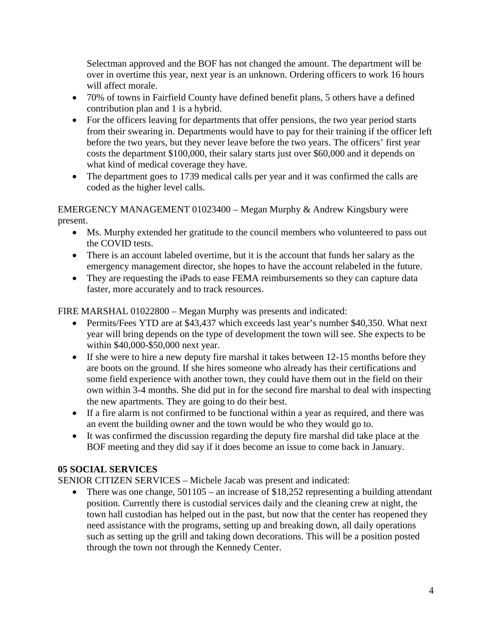Selectman approved and the BOF has not changed the amount. The department will be over in overtime this year, next year is an unknown. Ordering officers to work 16 hours will affect morale.

- 70% of towns in Fairfield County have defined benefit plans, 5 others have a defined contribution plan and 1 is a hybrid.
- For the officers leaving for departments that offer pensions, the two year period starts from their swearing in. Departments would have to pay for their training if the officer left before the two years, but they never leave before the two years. The officers' first year costs the department \$100,000, their salary starts just over \$60,000 and it depends on what kind of medical coverage they have.
- The department goes to 1739 medical calls per year and it was confirmed the calls are coded as the higher level calls.

EMERGENCY MANAGEMENT 01023400 – Megan Murphy & Andrew Kingsbury were present.

- Ms. Murphy extended her gratitude to the council members who volunteered to pass out the COVID tests.
- There is an account labeled overtime, but it is the account that funds her salary as the emergency management director, she hopes to have the account relabeled in the future.
- They are requesting the iPads to ease FEMA reimbursements so they can capture data faster, more accurately and to track resources.

FIRE MARSHAL 01022800 – Megan Murphy was presents and indicated:

- Permits/Fees YTD are at \$43,437 which exceeds last year's number \$40,350. What next year will bring depends on the type of development the town will see. She expects to be within \$40,000-\$50,000 next year.
- If she were to hire a new deputy fire marshal it takes between 12-15 months before they are boots on the ground. If she hires someone who already has their certifications and some field experience with another town, they could have them out in the field on their own within 3-4 months. She did put in for the second fire marshal to deal with inspecting the new apartments. They are going to do their best.
- If a fire alarm is not confirmed to be functional within a year as required, and there was an event the building owner and the town would be who they would go to.
- It was confirmed the discussion regarding the deputy fire marshal did take place at the BOF meeting and they did say if it does become an issue to come back in January.

# **05 SOCIAL SERVICES**

SENIOR CITIZEN SERVICES – Michele Jacab was present and indicated:

• There was one change, 501105 – an increase of \$18,252 representing a building attendant position. Currently there is custodial services daily and the cleaning crew at night, the town hall custodian has helped out in the past, but now that the center has reopened they need assistance with the programs, setting up and breaking down, all daily operations such as setting up the grill and taking down decorations. This will be a position posted through the town not through the Kennedy Center.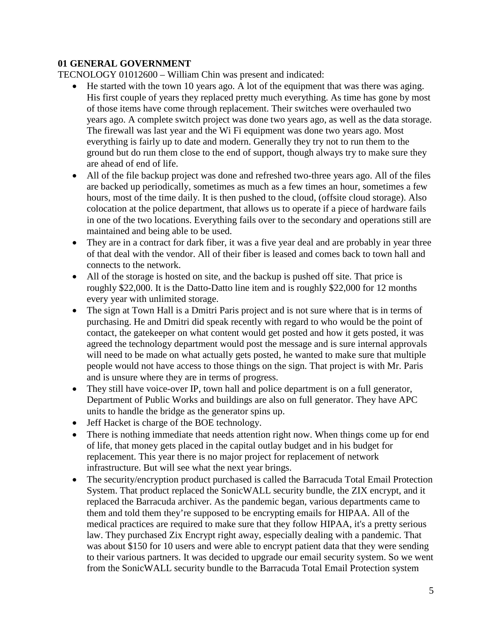## **01 GENERAL GOVERNMENT**

TECNOLOGY 01012600 – William Chin was present and indicated:

- He started with the town 10 years ago. A lot of the equipment that was there was aging. His first couple of years they replaced pretty much everything. As time has gone by most of those items have come through replacement. Their switches were overhauled two years ago. A complete switch project was done two years ago, as well as the data storage. The firewall was last year and the Wi Fi equipment was done two years ago. Most everything is fairly up to date and modern. Generally they try not to run them to the ground but do run them close to the end of support, though always try to make sure they are ahead of end of life.
- All of the file backup project was done and refreshed two-three years ago. All of the files are backed up periodically, sometimes as much as a few times an hour, sometimes a few hours, most of the time daily. It is then pushed to the cloud, (offsite cloud storage). Also colocation at the police department, that allows us to operate if a piece of hardware fails in one of the two locations. Everything fails over to the secondary and operations still are maintained and being able to be used.
- They are in a contract for dark fiber, it was a five year deal and are probably in year three of that deal with the vendor. All of their fiber is leased and comes back to town hall and connects to the network.
- All of the storage is hosted on site, and the backup is pushed off site. That price is roughly \$22,000. It is the Datto-Datto line item and is roughly \$22,000 for 12 months every year with unlimited storage.
- The sign at Town Hall is a Dmitri Paris project and is not sure where that is in terms of purchasing. He and Dmitri did speak recently with regard to who would be the point of contact, the gatekeeper on what content would get posted and how it gets posted, it was agreed the technology department would post the message and is sure internal approvals will need to be made on what actually gets posted, he wanted to make sure that multiple people would not have access to those things on the sign. That project is with Mr. Paris and is unsure where they are in terms of progress.
- They still have voice-over IP, town hall and police department is on a full generator, Department of Public Works and buildings are also on full generator. They have APC units to handle the bridge as the generator spins up.
- Jeff Hacket is charge of the BOE technology.
- There is nothing immediate that needs attention right now. When things come up for end of life, that money gets placed in the capital outlay budget and in his budget for replacement. This year there is no major project for replacement of network infrastructure. But will see what the next year brings.
- The security/encryption product purchased is called the Barracuda Total Email Protection System. That product replaced the SonicWALL security bundle, the ZIX encrypt, and it replaced the Barracuda archiver. As the pandemic began, various departments came to them and told them they're supposed to be encrypting emails for HIPAA. All of the medical practices are required to make sure that they follow HIPAA, it's a pretty serious law. They purchased Zix Encrypt right away, especially dealing with a pandemic. That was about \$150 for 10 users and were able to encrypt patient data that they were sending to their various partners. It was decided to upgrade our email security system. So we went from the SonicWALL security bundle to the Barracuda Total Email Protection system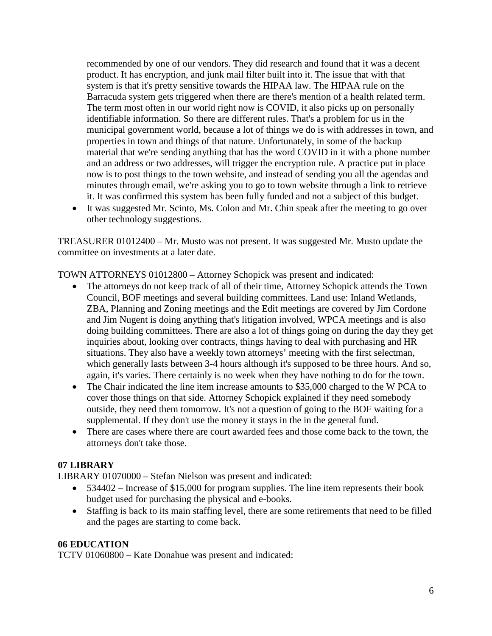recommended by one of our vendors. They did research and found that it was a decent product. It has encryption, and junk mail filter built into it. The issue that with that system is that it's pretty sensitive towards the HIPAA law. The HIPAA rule on the Barracuda system gets triggered when there are there's mention of a health related term. The term most often in our world right now is COVID, it also picks up on personally identifiable information. So there are different rules. That's a problem for us in the municipal government world, because a lot of things we do is with addresses in town, and properties in town and things of that nature. Unfortunately, in some of the backup material that we're sending anything that has the word COVID in it with a phone number and an address or two addresses, will trigger the encryption rule. A practice put in place now is to post things to the town website, and instead of sending you all the agendas and minutes through email, we're asking you to go to town website through a link to retrieve it. It was confirmed this system has been fully funded and not a subject of this budget.

• It was suggested Mr. Scinto, Ms. Colon and Mr. Chin speak after the meeting to go over other technology suggestions.

TREASURER 01012400 – Mr. Musto was not present. It was suggested Mr. Musto update the committee on investments at a later date.

TOWN ATTORNEYS 01012800 – Attorney Schopick was present and indicated:

- The attorneys do not keep track of all of their time, Attorney Schopick attends the Town Council, BOF meetings and several building committees. Land use: Inland Wetlands, ZBA, Planning and Zoning meetings and the Edit meetings are covered by Jim Cordone and Jim Nugent is doing anything that's litigation involved, WPCA meetings and is also doing building committees. There are also a lot of things going on during the day they get inquiries about, looking over contracts, things having to deal with purchasing and HR situations. They also have a weekly town attorneys' meeting with the first selectman, which generally lasts between 3-4 hours although it's supposed to be three hours. And so, again, it's varies. There certainly is no week when they have nothing to do for the town.
- The Chair indicated the line item increase amounts to \$35,000 charged to the W PCA to cover those things on that side. Attorney Schopick explained if they need somebody outside, they need them tomorrow. It's not a question of going to the BOF waiting for a supplemental. If they don't use the money it stays in the in the general fund.
- There are cases where there are court awarded fees and those come back to the town, the attorneys don't take those.

## **07 LIBRARY**

LIBRARY 01070000 – Stefan Nielson was present and indicated:

- 534402 Increase of \$15,000 for program supplies. The line item represents their book budget used for purchasing the physical and e-books.
- Staffing is back to its main staffing level, there are some retirements that need to be filled and the pages are starting to come back.

#### **06 EDUCATION**

TCTV 01060800 – Kate Donahue was present and indicated: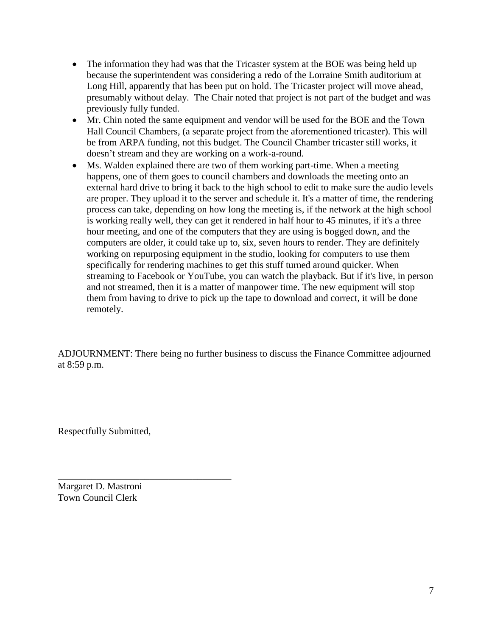- The information they had was that the Tricaster system at the BOE was being held up because the superintendent was considering a redo of the Lorraine Smith auditorium at Long Hill, apparently that has been put on hold. The Tricaster project will move ahead, presumably without delay. The Chair noted that project is not part of the budget and was previously fully funded.
- Mr. Chin noted the same equipment and vendor will be used for the BOE and the Town Hall Council Chambers, (a separate project from the aforementioned tricaster). This will be from ARPA funding, not this budget. The Council Chamber tricaster still works, it doesn't stream and they are working on a work-a-round.
- Ms. Walden explained there are two of them working part-time. When a meeting happens, one of them goes to council chambers and downloads the meeting onto an external hard drive to bring it back to the high school to edit to make sure the audio levels are proper. They upload it to the server and schedule it. It's a matter of time, the rendering process can take, depending on how long the meeting is, if the network at the high school is working really well, they can get it rendered in half hour to 45 minutes, if it's a three hour meeting, and one of the computers that they are using is bogged down, and the computers are older, it could take up to, six, seven hours to render. They are definitely working on repurposing equipment in the studio, looking for computers to use them specifically for rendering machines to get this stuff turned around quicker. When streaming to Facebook or YouTube, you can watch the playback. But if it's live, in person and not streamed, then it is a matter of manpower time. The new equipment will stop them from having to drive to pick up the tape to download and correct, it will be done remotely.

ADJOURNMENT: There being no further business to discuss the Finance Committee adjourned at 8:59 p.m.

Respectfully Submitted,

Margaret D. Mastroni Town Council Clerk

\_\_\_\_\_\_\_\_\_\_\_\_\_\_\_\_\_\_\_\_\_\_\_\_\_\_\_\_\_\_\_\_\_\_\_\_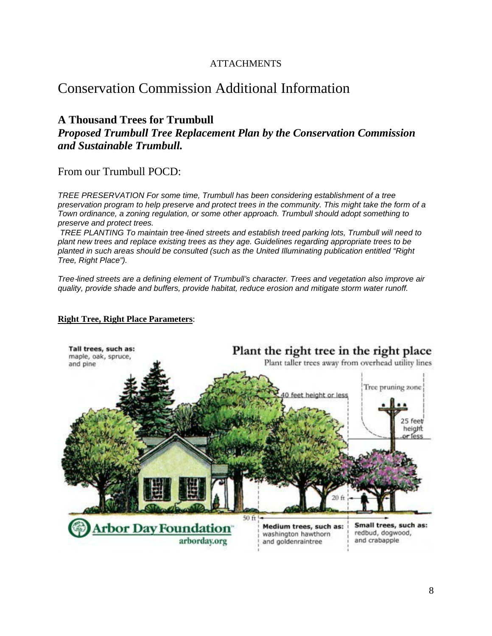## **ATTACHMENTS**

# **Conservation Commission Additional Information**

# **A Thousand Trees for Trumbull**

Proposed Trumbull Tree Replacement Plan by the Conservation Commission and Sustainable Trumbull.

From our Trumbull POCD:

TREE PRESERVATION For some time. Trumbull has been considering establishment of a tree preservation program to help preserve and protect trees in the community. This might take the form of a Town ordinance, a zoning regulation, or some other approach. Trumbull should adopt something to preserve and protect trees.

TREE PLANTING To maintain tree-lined streets and establish treed parking lots, Trumbull will need to plant new trees and replace existing trees as they age. Guidelines regarding appropriate trees to be planted in such areas should be consulted (such as the United Illuminating publication entitled "Right Tree, Right Place").

Tree-lined streets are a defining element of Trumbull's character. Trees and vegetation also improve air quality, provide shade and buffers, provide habitat, reduce erosion and mitigate storm water runoff.

#### **Right Tree, Right Place Parameters:**

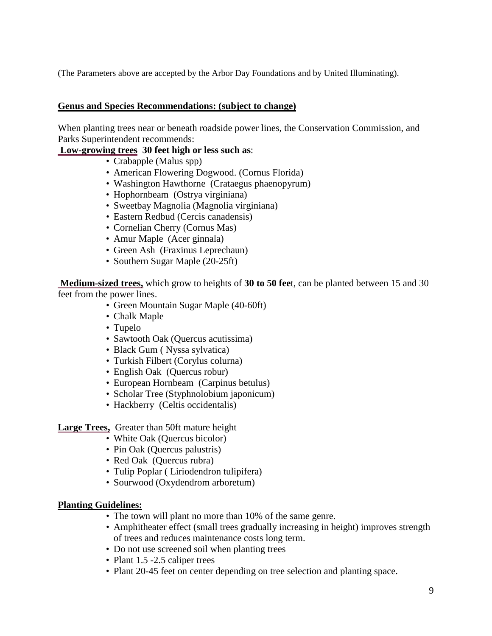(The Parameters above are accepted by the Arbor Day Foundations and by United Illuminating).

#### **Genus and Species Recommendations: (subject to change)**

When planting trees near or beneath roadside power lines, the Conservation Commission, and Parks Superintendent recommends:

#### **Low-growing trees 30 feet high or less such as**:

- Crabapple (Malus spp)
- American Flowering Dogwood. (Cornus Florida)
- Washington Hawthorne (Crataegus phaenopyrum)
- Hophornbeam (Ostrya virginiana)
- Sweetbay Magnolia (Magnolia virginiana)
- Eastern Redbud (Cercis canadensis)
- Cornelian Cherry (Cornus Mas)
- Amur Maple (Acer ginnala)
- Green Ash (Fraxinus Leprechaun)
- Southern Sugar Maple (20-25ft)

**Medium-sized trees,** which grow to heights of **30 to 50 fee**t, can be planted between 15 and 30 feet from the power lines.

- Green Mountain Sugar Maple (40-60ft)
- Chalk Maple
- Tupelo
- Sawtooth Oak (Quercus acutissima)
- Black Gum ( Nyssa sylvatica)
- Turkish Filbert (Corylus colurna)
- English Oak (Quercus robur)
- European Hornbeam (Carpinus betulus)
- Scholar Tree (Styphnolobium japonicum)
- Hackberry (Celtis occidentalis)

**Large Trees,** Greater than 50ft mature height

- White Oak (Quercus bicolor)
- Pin Oak (Quercus palustris)
- Red Oak (Quercus rubra)
- Tulip Poplar ( Liriodendron tulipifera)
- Sourwood (Oxydendrom arboretum)

#### **Planting Guidelines:**

- The town will plant no more than 10% of the same genre.
- Amphitheater effect (small trees gradually increasing in height) improves strength of trees and reduces maintenance costs long term.
- Do not use screened soil when planting trees
- Plant 1.5 -2.5 caliper trees
- Plant 20-45 feet on center depending on tree selection and planting space.